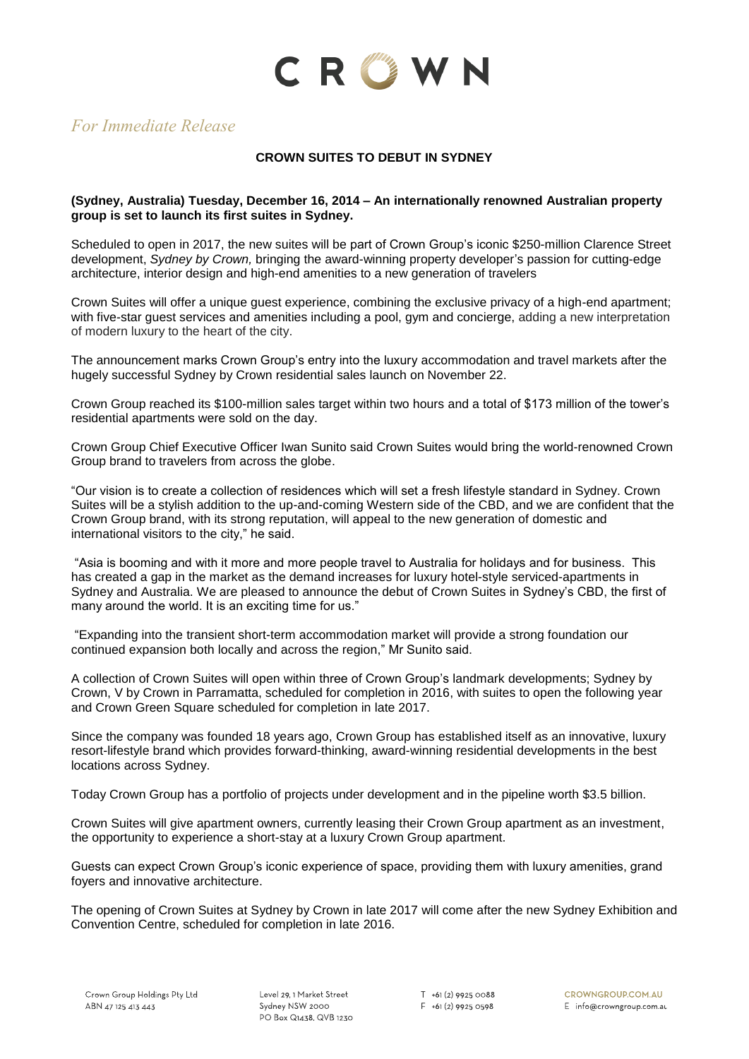

# *For Immediate Release*

# **CROWN SUITES TO DEBUT IN SYDNEY**

### **(Sydney, Australia) Tuesday, December 16, 2014 – An internationally renowned Australian property group is set to launch its first suites in Sydney.**

Scheduled to open in 2017, the new suites will be part of Crown Group's iconic \$250-million Clarence Street development, *Sydney by Crown,* bringing the award-winning property developer's passion for cutting-edge architecture, interior design and high-end amenities to a new generation of travelers

Crown Suites will offer a unique guest experience, combining the exclusive privacy of a high-end apartment; with five-star guest services and amenities including a pool, gym and concierge, adding a new interpretation of modern luxury to the heart of the city.

The announcement marks Crown Group's entry into the luxury accommodation and travel markets after the hugely successful Sydney by Crown residential sales launch on November 22.

Crown Group reached its \$100-million sales target within two hours and a total of \$173 million of the tower's residential apartments were sold on the day.

Crown Group Chief Executive Officer Iwan Sunito said Crown Suites would bring the world-renowned Crown Group brand to travelers from across the globe.

"Our vision is to create a collection of residences which will set a fresh lifestyle standard in Sydney. Crown Suites will be a stylish addition to the up-and-coming Western side of the CBD, and we are confident that the Crown Group brand, with its strong reputation, will appeal to the new generation of domestic and international visitors to the city," he said.

"Asia is booming and with it more and more people travel to Australia for holidays and for business. This has created a gap in the market as the demand increases for luxury hotel-style serviced-apartments in Sydney and Australia. We are pleased to announce the debut of Crown Suites in Sydney's CBD, the first of many around the world. It is an exciting time for us."

"Expanding into the transient short-term accommodation market will provide a strong foundation our continued expansion both locally and across the region," Mr Sunito said.

A collection of Crown Suites will open within three of Crown Group's landmark developments; Sydney by Crown, V by Crown in Parramatta, scheduled for completion in 2016, with suites to open the following year and Crown Green Square scheduled for completion in late 2017.

Since the company was founded 18 years ago, Crown Group has established itself as an innovative, luxury resort-lifestyle brand which provides forward-thinking, award-winning residential developments in the best locations across Sydney.

Today Crown Group has a portfolio of projects under development and in the pipeline worth \$3.5 billion.

Crown Suites will give apartment owners, currently leasing their Crown Group apartment as an investment, the opportunity to experience a short-stay at a luxury Crown Group apartment.

Guests can expect Crown Group's iconic experience of space, providing them with luxury amenities, grand foyers and innovative architecture.

The opening of Crown Suites at Sydney by Crown in late 2017 will come after the new Sydney Exhibition and Convention Centre, scheduled for completion in late 2016.

Level 29, 1 Market Street Sydney NSW 2000 PO Box Q1438, QVB 1230

 $T$  +61 (2) 9925 0088  $F + 61(2)99250598$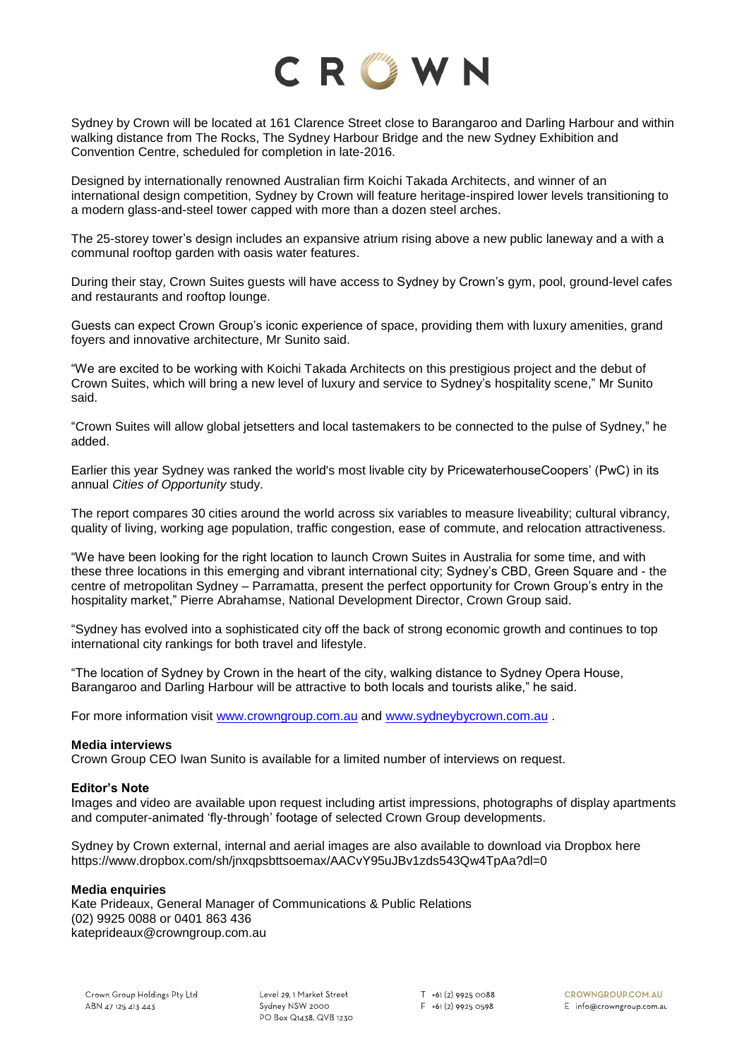

Sydney by Crown will be located at 161 Clarence Street close to Barangaroo and Darling Harbour and within walking distance from The Rocks, The Sydney Harbour Bridge and the new Sydney Exhibition and Convention Centre, scheduled for completion in late-2016.

Designed by internationally renowned Australian firm Koichi Takada Architects, and winner of an international design competition, Sydney by Crown will feature heritage-inspired lower levels transitioning to a modern glass-and-steel tower capped with more than a dozen steel arches.

The 25-storey tower's design includes an expansive atrium rising above a new public laneway and a with a communal rooftop garden with oasis water features.

During their stay, Crown Suites guests will have access to Sydney by Crown's gym, pool, ground-level cafes and restaurants and rooftop lounge.

Guests can expect Crown Group's iconic experience of space, providing them with luxury amenities, grand foyers and innovative architecture, Mr Sunito said.

"We are excited to be working with Koichi Takada Architects on this prestigious project and the debut of Crown Suites, which will bring a new level of luxury and service to Sydney's hospitality scene," Mr Sunito said.

"Crown Suites will allow global jetsetters and local tastemakers to be connected to the pulse of Sydney," he added.

Earlier this year Sydney was ranked the world's most livable city by PricewaterhouseCoopers' (PwC) in its annual *Cities of Opportunity* study.

The report compares 30 cities around the world across six variables to measure liveability; cultural vibrancy, quality of living, working age population, traffic congestion, ease of commute, and relocation attractiveness.

"We have been looking for the right location to launch Crown Suites in Australia for some time, and with these three locations in this emerging and vibrant international city; Sydney's CBD, Green Square and - the centre of metropolitan Sydney – Parramatta, present the perfect opportunity for Crown Group's entry in the hospitality market," Pierre Abrahamse, National Development Director, Crown Group said.

"Sydney has evolved into a sophisticated city off the back of strong economic growth and continues to top international city rankings for both travel and lifestyle.

"The location of Sydney by Crown in the heart of the city, walking distance to Sydney Opera House, Barangaroo and Darling Harbour will be attractive to both locals and tourists alike," he said.

For more information visit [www.crowngroup.com.au](http://www.crowngroup.com.au/) and [www.sydneybycrown.com.au](http://www.sydneybycrown.com.au/) .

#### **Media interviews**

Crown Group CEO Iwan Sunito is available for a limited number of interviews on request.

#### **Editor's Note**

Images and video are available upon request including artist impressions, photographs of display apartments and computer-animated 'fly-through' footage of selected Crown Group developments.

Sydney by Crown external, internal and aerial images are also available to download via Dropbox here https://www.dropbox.com/sh/jnxqpsbttsoemax/AACvY95uJBv1zds543Qw4TpAa?dl=0

#### **Media enquiries**

Kate Prideaux, General Manager of Communications & Public Relations (02) 9925 0088 or 0401 863 436 kateprideaux@crowngroup.com.au

Level 29, 1 Market Street Sydney NSW 2000 PO Box Q1438, QVB 1230  $T$  +61 (2) 9925 0088  $F + 61(2)99250598$